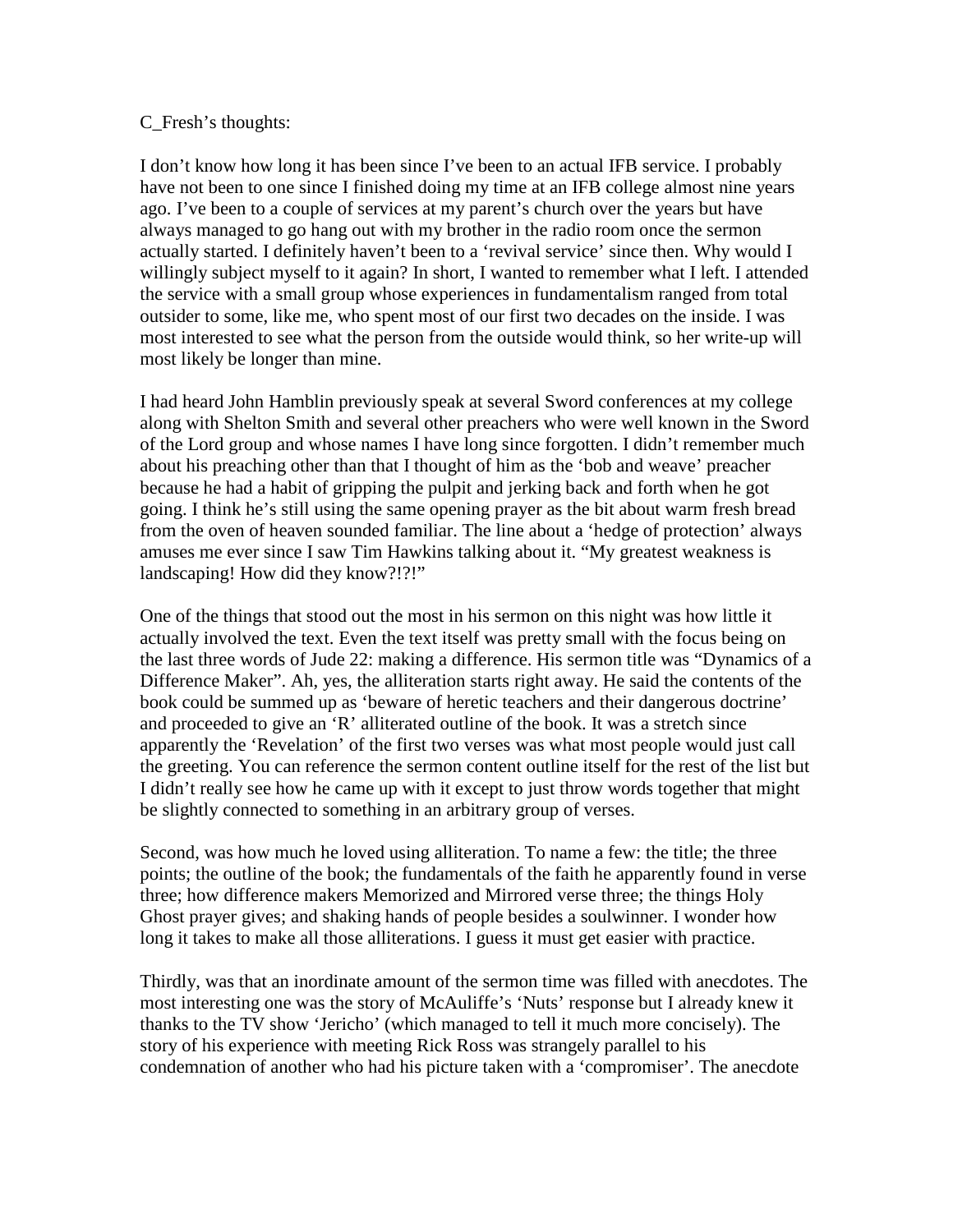## C\_Fresh's thoughts:

I don't know how long it has been since I've been to an actual IFB service. I probably have not been to one since I finished doing my time at an IFB college almost nine years ago. I've been to a couple of services at my parent's church over the years but have always managed to go hang out with my brother in the radio room once the sermon actually started. I definitely haven't been to a 'revival service' since then. Why would I willingly subject myself to it again? In short, I wanted to remember what I left. I attended the service with a small group whose experiences in fundamentalism ranged from total outsider to some, like me, who spent most of our first two decades on the inside. I was most interested to see what the person from the outside would think, so her write-up will most likely be longer than mine.

I had heard John Hamblin previously speak at several Sword conferences at my college along with Shelton Smith and several other preachers who were well known in the Sword of the Lord group and whose names I have long since forgotten. I didn't remember much about his preaching other than that I thought of him as the 'bob and weave' preacher because he had a habit of gripping the pulpit and jerking back and forth when he got going. I think he's still using the same opening prayer as the bit about warm fresh bread from the oven of heaven sounded familiar. The line about a 'hedge of protection' always amuses me ever since I saw Tim Hawkins talking about it. "My greatest weakness is landscaping! How did they know?!?!"

One of the things that stood out the most in his sermon on this night was how little it actually involved the text. Even the text itself was pretty small with the focus being on the last three words of Jude 22: making a difference. His sermon title was "Dynamics of a Difference Maker". Ah, yes, the alliteration starts right away. He said the contents of the book could be summed up as 'beware of heretic teachers and their dangerous doctrine' and proceeded to give an 'R' alliterated outline of the book. It was a stretch since apparently the 'Revelation' of the first two verses was what most people would just call the greeting. You can reference the sermon content outline itself for the rest of the list but I didn't really see how he came up with it except to just throw words together that might be slightly connected to something in an arbitrary group of verses.

Second, was how much he loved using alliteration. To name a few: the title; the three points; the outline of the book; the fundamentals of the faith he apparently found in verse three; how difference makers Memorized and Mirrored verse three; the things Holy Ghost prayer gives; and shaking hands of people besides a soulwinner. I wonder how long it takes to make all those alliterations. I guess it must get easier with practice.

Thirdly, was that an inordinate amount of the sermon time was filled with anecdotes. The most interesting one was the story of McAuliffe's 'Nuts' response but I already knew it thanks to the TV show 'Jericho' (which managed to tell it much more concisely). The story of his experience with meeting Rick Ross was strangely parallel to his condemnation of another who had his picture taken with a 'compromiser'. The anecdote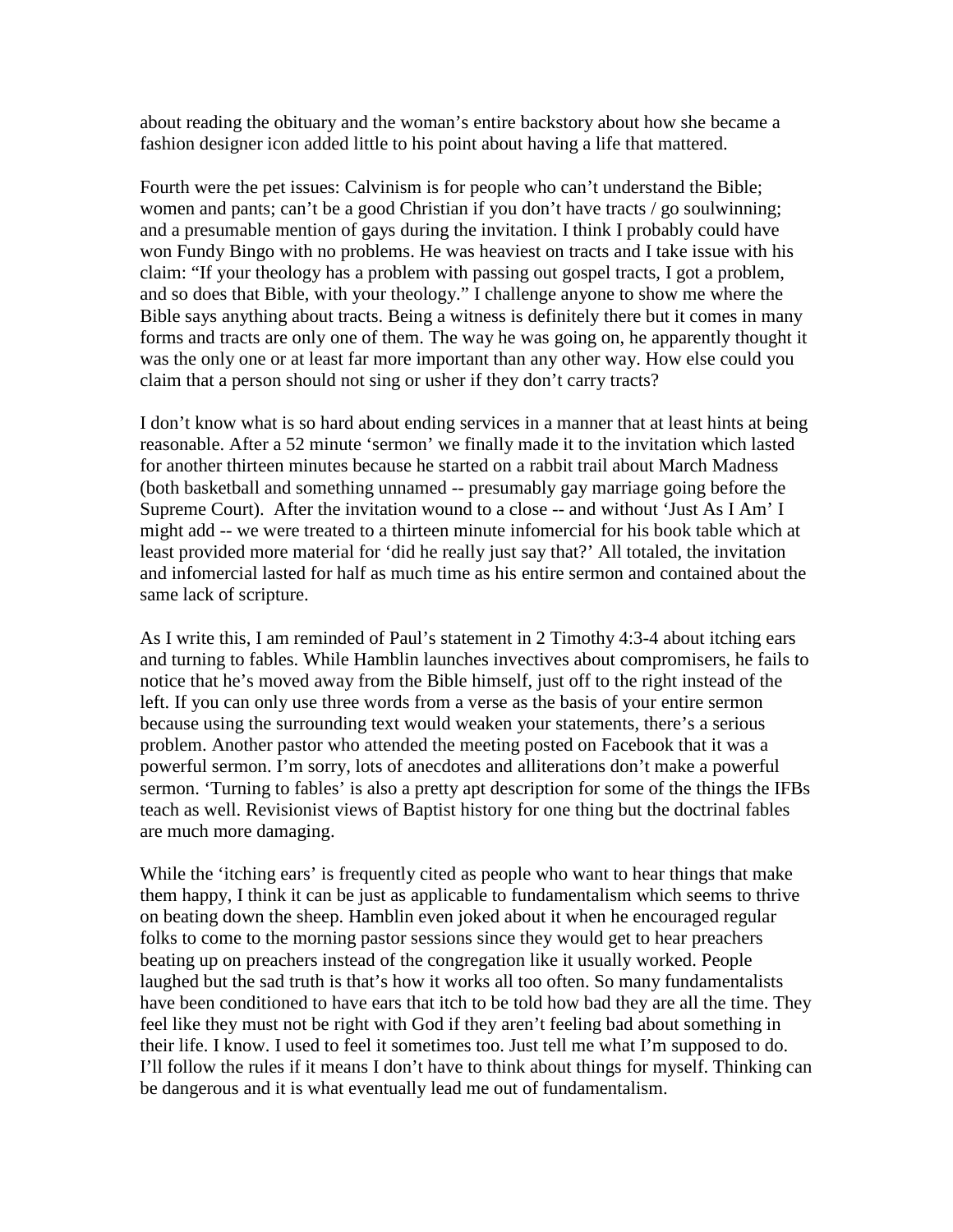about reading the obituary and the woman's entire backstory about how she became a fashion designer icon added little to his point about having a life that mattered.

Fourth were the pet issues: Calvinism is for people who can't understand the Bible; women and pants; can't be a good Christian if you don't have tracts / go soulwinning; and a presumable mention of gays during the invitation. I think I probably could have won Fundy Bingo with no problems. He was heaviest on tracts and I take issue with his claim: "If your theology has a problem with passing out gospel tracts, I got a problem, and so does that Bible, with your theology." I challenge anyone to show me where the Bible says anything about tracts. Being a witness is definitely there but it comes in many forms and tracts are only one of them. The way he was going on, he apparently thought it was the only one or at least far more important than any other way. How else could you claim that a person should not sing or usher if they don't carry tracts?

I don't know what is so hard about ending services in a manner that at least hints at being reasonable. After a 52 minute 'sermon' we finally made it to the invitation which lasted for another thirteen minutes because he started on a rabbit trail about March Madness (both basketball and something unnamed -- presumably gay marriage going before the Supreme Court). After the invitation wound to a close -- and without 'Just As I Am' I might add -- we were treated to a thirteen minute infomercial for his book table which at least provided more material for 'did he really just say that?' All totaled, the invitation and infomercial lasted for half as much time as his entire sermon and contained about the same lack of scripture.

As I write this, I am reminded of Paul's statement in 2 Timothy 4:3-4 about itching ears and turning to fables. While Hamblin launches invectives about compromisers, he fails to notice that he's moved away from the Bible himself, just off to the right instead of the left. If you can only use three words from a verse as the basis of your entire sermon because using the surrounding text would weaken your statements, there's a serious problem. Another pastor who attended the meeting posted on Facebook that it was a powerful sermon. I'm sorry, lots of anecdotes and alliterations don't make a powerful sermon. 'Turning to fables' is also a pretty apt description for some of the things the IFBs teach as well. Revisionist views of Baptist history for one thing but the doctrinal fables are much more damaging.

While the 'itching ears' is frequently cited as people who want to hear things that make them happy, I think it can be just as applicable to fundamentalism which seems to thrive on beating down the sheep. Hamblin even joked about it when he encouraged regular folks to come to the morning pastor sessions since they would get to hear preachers beating up on preachers instead of the congregation like it usually worked. People laughed but the sad truth is that's how it works all too often. So many fundamentalists have been conditioned to have ears that itch to be told how bad they are all the time. They feel like they must not be right with God if they aren't feeling bad about something in their life. I know. I used to feel it sometimes too. Just tell me what I'm supposed to do. I'll follow the rules if it means I don't have to think about things for myself. Thinking can be dangerous and it is what eventually lead me out of fundamentalism.